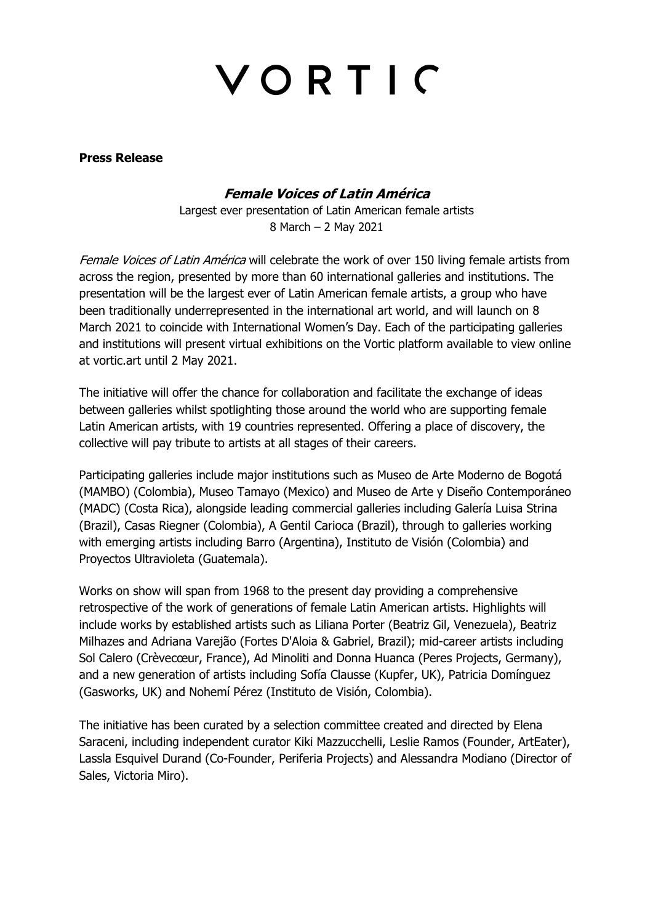# VORTIC

**Press Release** 

## **Female Voices of Latin América**

Largest ever presentation of Latin American female artists 8 March – 2 May 2021

Female Voices of Latin América will celebrate the work of over 150 living female artists from across the region, presented by more than 60 international galleries and institutions. The presentation will be the largest ever of Latin American female artists, a group who have been traditionally underrepresented in the international art world, and will launch on 8 March 2021 to coincide with International Women's Day. Each of the participating galleries and institutions will present virtual exhibitions on the Vortic platform available to view online at vortic.art until 2 May 2021.

The initiative will offer the chance for collaboration and facilitate the exchange of ideas between galleries whilst spotlighting those around the world who are supporting female Latin American artists, with 19 countries represented. Offering a place of discovery, the collective will pay tribute to artists at all stages of their careers.

Participating galleries include major institutions such as Museo de Arte Moderno de Bogotá (MAMBO) (Colombia), Museo Tamayo (Mexico) and Museo de Arte y Diseño Contemporáneo (MADC) (Costa Rica), alongside leading commercial galleries including Galería Luisa Strina (Brazil), Casas Riegner (Colombia), A Gentil Carioca (Brazil), through to galleries working with emerging artists including Barro (Argentina), Instituto de Visión (Colombia) and Proyectos Ultravioleta (Guatemala).

Works on show will span from 1968 to the present day providing a comprehensive retrospective of the work of generations of female Latin American artists. Highlights will include works by established artists such as Liliana Porter (Beatriz Gil, Venezuela), Beatriz Milhazes and Adriana Varejão (Fortes D'Aloia & Gabriel, Brazil); mid-career artists including Sol Calero (Crèvecœur, France), Ad Minoliti and Donna Huanca (Peres Projects, Germany), and a new generation of artists including Sofía Clausse (Kupfer, UK), Patricia Domínguez (Gasworks, UK) and Nohemí Pérez (Instituto de Visión, Colombia).

The initiative has been curated by a selection committee created and directed by Elena Saraceni, including independent curator Kiki Mazzucchelli, Leslie Ramos (Founder, ArtEater), Lassla Esquivel Durand (Co-Founder, Periferia Projects) and Alessandra Modiano (Director of Sales, Victoria Miro).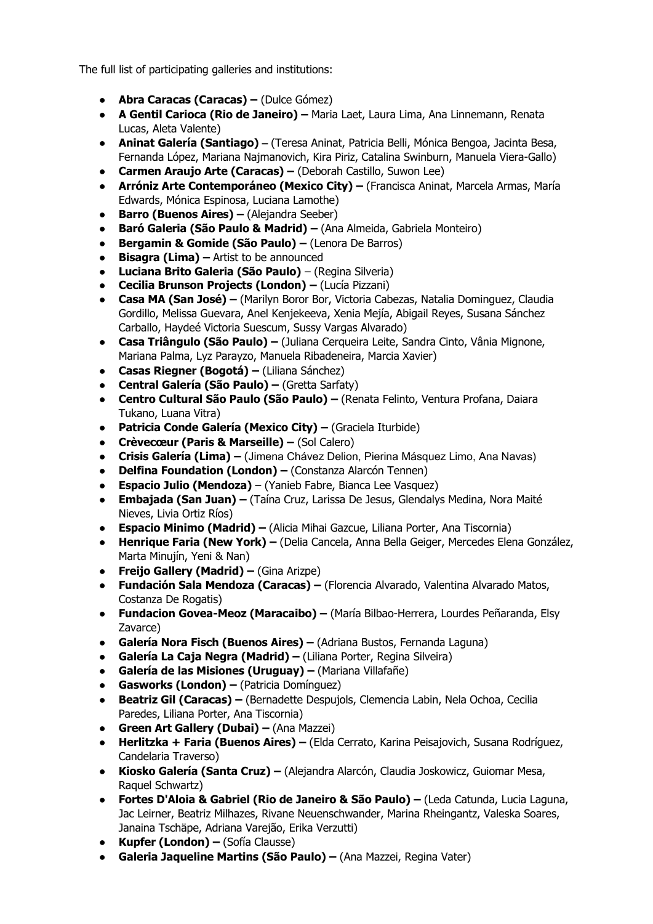The full list of participating galleries and institutions:

- **Abra Caracas (Caracas) –** (Dulce Gómez)
- **A Gentil Carioca (Rio de Janeiro) –** Maria Laet, Laura Lima, Ana Linnemann, Renata Lucas, Aleta Valente)
- **Aninat Galería (Santiago) –** (Teresa Aninat, Patricia Belli, Mónica Bengoa, Jacinta Besa, Fernanda López, Mariana Najmanovich, Kira Piriz, Catalina Swinburn, Manuela Viera-Gallo)
- **Carmen Araujo Arte (Caracas) –** (Deborah Castillo, Suwon Lee)
- **Arróniz Arte Contemporáneo (Mexico City) –** (Francisca Aninat, Marcela Armas, María Edwards, Mónica Espinosa, Luciana Lamothe)
- **Barro (Buenos Aires) –** (Alejandra Seeber)
- **Baró Galeria (São Paulo & Madrid) –** (Ana Almeida, Gabriela Monteiro)
- **Bergamin & Gomide (São Paulo) –** (Lenora De Barros)
- **Bisagra (Lima) –** Artist to be announced
- **Luciana Brito Galeria (São Paulo)** (Regina Silveria)
- **Cecilia Brunson Projects (London) –** (Lucía Pizzani)
- **Casa MA (San José) –** (Marilyn Boror Bor, Victoria Cabezas, Natalia Dominguez, Claudia Gordillo, Melissa Guevara, Anel Kenjekeeva, Xenia Mejía, Abigail Reyes, Susana Sánchez Carballo, Haydeé Victoria Suescum, Sussy Vargas Alvarado)
- **Casa Triângulo (São Paulo) –** (Juliana Cerqueira Leite, Sandra Cinto, Vânia Mignone, Mariana Palma, Lyz Parayzo, Manuela Ribadeneira, Marcia Xavier)
- **Casas Riegner (Bogotá) –** (Liliana Sánchez)
- **Central Galería (São Paulo) –** (Gretta Sarfaty)
- **Centro Cultural São Paulo (São Paulo) –** (Renata Felinto, Ventura Profana, Daiara Tukano, Luana Vitra)
- **Patricia Conde Galería (Mexico City) –** (Graciela Iturbide)
- **Crèvecœur (Paris & Marseille) –** (Sol Calero)
- **Crisis Galería (Lima) –** (Jimena Chávez Delion, Pierina Másquez Limo, Ana Navas)
- **Delfina Foundation (London) –** (Constanza Alarcón Tennen)
- **Espacio Julio (Mendoza)**  (Yanieb Fabre, Bianca Lee Vasquez)
- **Embajada (San Juan) –** (Taína Cruz, Larissa De Jesus, Glendalys Medina, Nora Maité Nieves, Livia Ortiz Ríos)
- **Espacio Minimo (Madrid) –** (Alicia Mihai Gazcue, Liliana Porter, Ana Tiscornia)
- **Henrique Faria (New York) –** (Delia Cancela, Anna Bella Geiger, Mercedes Elena González, Marta Minujín, Yeni & Nan)
- **Freijo Gallery (Madrid) –** (Gina Arizpe)
- **Fundación Sala Mendoza (Caracas) –** (Florencia Alvarado, Valentina Alvarado Matos, Costanza De Rogatis)
- **Fundacion Govea-Meoz (Maracaibo) –** (María Bilbao-Herrera, Lourdes Peñaranda, Elsy Zavarce)
- **Galería Nora Fisch (Buenos Aires) –** (Adriana Bustos, Fernanda Laguna)
- **Galería La Caja Negra (Madrid) –** (Liliana Porter, Regina Silveira)
- **Galería de las Misiones (Uruguay) –** (Mariana Villafañe)
- **Gasworks (London) –** (Patricia Domínguez)
- **Beatriz Gil (Caracas) –** (Bernadette Despujols, Clemencia Labin, Nela Ochoa, Cecilia Paredes, Liliana Porter, Ana Tiscornia)
- **Green Art Gallery (Dubai) –** (Ana Mazzei)
- **Herlitzka + Faria (Buenos Aires) –** (Elda Cerrato, Karina Peisajovich, Susana Rodríguez, Candelaria Traverso)
- **Kiosko Galería (Santa Cruz) –** (Alejandra Alarcón, Claudia Joskowicz, Guiomar Mesa, Raquel Schwartz)
- **Fortes D'Aloia & Gabriel (Rio de Janeiro & São Paulo) –** (Leda Catunda, Lucia Laguna, Jac Leirner, Beatriz Milhazes, Rivane Neuenschwander, Marina Rheingantz, Valeska Soares, Janaina Tschäpe, Adriana Varejão, Erika Verzutti)
- **Kupfer (London) –** (Sofía Clausse)
- **Galeria Jaqueline Martins (São Paulo) –** (Ana Mazzei, Regina Vater)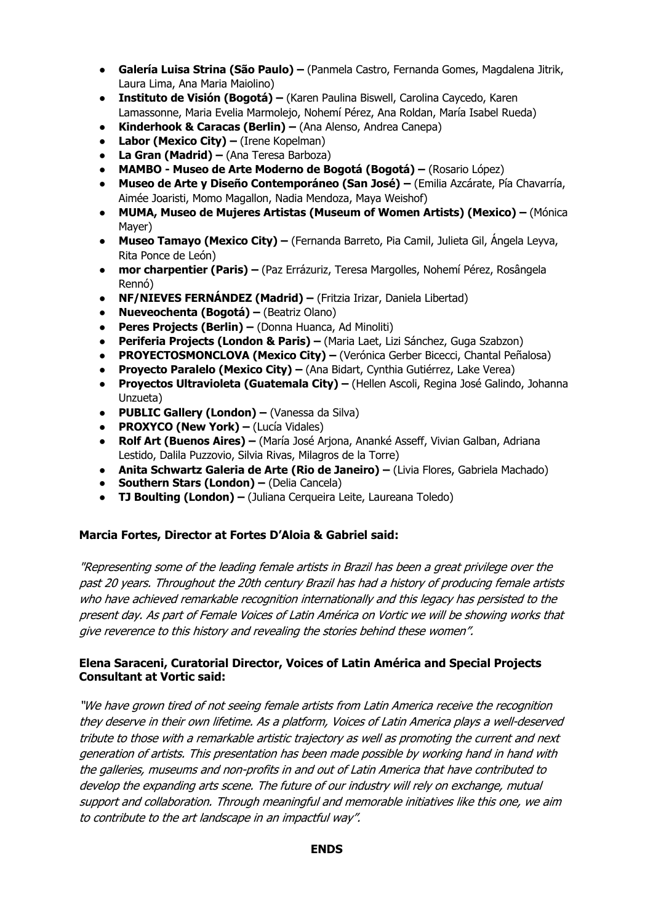- **Galería Luisa Strina (São Paulo) –** (Panmela Castro, Fernanda Gomes, Magdalena Jitrik, Laura Lima, Ana Maria Maiolino)
- **Instituto de Visión (Bogotá) –** (Karen Paulina Biswell, Carolina Caycedo, Karen Lamassonne, Maria Evelia Marmolejo, Nohemí Pérez, Ana Roldan, María Isabel Rueda)
- **Kinderhook & Caracas (Berlin) –** (Ana Alenso, Andrea Canepa)
- **Labor (Mexico City) –** (Irene Kopelman)
- **La Gran (Madrid) –** (Ana Teresa Barboza)
- **MAMBO - Museo de Arte Moderno de Bogotá (Bogotá) –** (Rosario López)
- **Museo de Arte y Diseño Contemporáneo (San José) –** (Emilia Azcárate, Pía Chavarría, Aimée Joaristi, Momo Magallon, Nadia Mendoza, Maya Weishof)
- **MUMA, Museo de Mujeres Artistas (Museum of Women Artists) (Mexico) –** (Mónica Mayer)
- **Museo Tamayo (Mexico City) –** (Fernanda Barreto, Pia Camil, Julieta Gil, Ángela Leyva, Rita Ponce de León)
- **mor charpentier (Paris) –** (Paz Errázuriz, Teresa Margolles, Nohemí Pérez, Rosângela Rennó)
- **NF/NIEVES FERNÁNDEZ (Madrid) –** (Fritzia Irizar, Daniela Libertad)
- **Nueveochenta (Bogotá) –** (Beatriz Olano)
- **Peres Projects (Berlin) –** (Donna Huanca, Ad Minoliti)
- **Periferia Projects (London & Paris) –** (Maria Laet, Lizi Sánchez, Guga Szabzon)
- **PROYECTOSMONCLOVA (Mexico City) –** (Verónica Gerber Bicecci, Chantal Peñalosa)
- **Proyecto Paralelo (Mexico City) –** (Ana Bidart, Cynthia Gutiérrez, Lake Verea)
- **Proyectos Ultravioleta (Guatemala City) –** (Hellen Ascoli, Regina José Galindo, Johanna Unzueta)
- **PUBLIC Gallery (London) –** (Vanessa da Silva)
- **PROXYCO (New York) –** (Lucía Vidales)
- **Rolf Art (Buenos Aires) –** (María José Arjona, Ananké Asseff, Vivian Galban, Adriana Lestido, Dalila Puzzovio, Silvia Rivas, Milagros de la Torre)
- **Anita Schwartz Galeria de Arte (Rio de Janeiro) –** (Livia Flores, Gabriela Machado)
- **Southern Stars (London) –** (Delia Cancela)
- **TJ Boulting (London) –** (Juliana Cerqueira Leite, Laureana Toledo)

## **Marcia Fortes, Director at Fortes D'Aloia & Gabriel said:**

"Representing some of the leading female artists in Brazil has been a great privilege over the past 20 years. Throughout the 20th century Brazil has had a history of producing female artists who have achieved remarkable recognition internationally and this legacy has persisted to the present day. As part of Female Voices of Latin América on Vortic we will be showing works that give reverence to this history and revealing the stories behind these women".

## **Elena Saraceni, Curatorial Director, Voices of Latin América and Special Projects Consultant at Vortic said:**

"We have grown tired of not seeing female artists from Latin America receive the recognition they deserve in their own lifetime. As a platform, Voices of Latin America plays a well-deserved tribute to those with a remarkable artistic trajectory as well as promoting the current and next generation of artists. This presentation has been made possible by working hand in hand with the galleries, museums and non-profits in and out of Latin America that have contributed to develop the expanding arts scene. The future of our industry will rely on exchange, mutual support and collaboration. Through meaningful and memorable initiatives like this one, we aim to contribute to the art landscape in an impactful way".